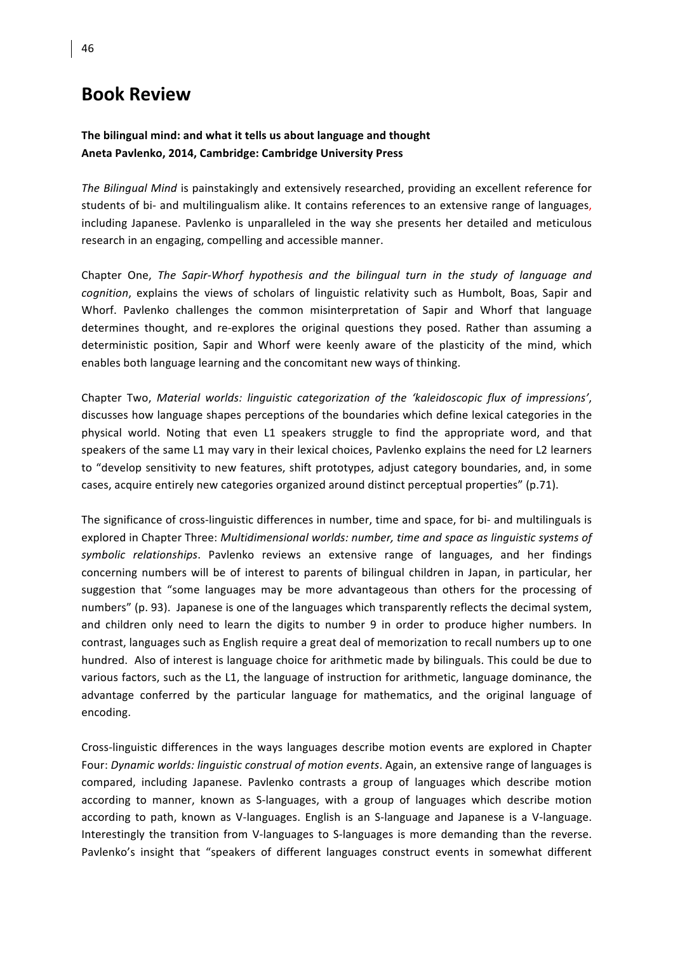## **Book Review**

## The bilingual mind: and what it tells us about language and thought Aneta Pavlenko, 2014, Cambridge: Cambridge University Press

The Bilingual Mind is painstakingly and extensively researched, providing an excellent reference for students of bi- and multilingualism alike. It contains references to an extensive range of languages, including Japanese. Pavlenko is unparalleled in the way she presents her detailed and meticulous research in an engaging, compelling and accessible manner.

Chapter One, *The Sapir-Whorf hypothesis and the bilingual turn in the study of language and cognition*, explains the views of scholars of linguistic relativity such as Humbolt, Boas, Sapir and Whorf. Pavlenko challenges the common misinterpretation of Sapir and Whorf that language determines thought, and re-explores the original questions they posed. Rather than assuming a deterministic position, Sapir and Whorf were keenly aware of the plasticity of the mind, which enables both language learning and the concomitant new ways of thinking.

Chapter Two, *Material worlds: linguistic categorization of the 'kaleidoscopic flux of impressions'*, discusses how language shapes perceptions of the boundaries which define lexical categories in the physical world. Noting that even L1 speakers struggle to find the appropriate word, and that speakers of the same L1 may vary in their lexical choices, Pavlenko explains the need for L2 learners to "develop sensitivity to new features, shift prototypes, adjust category boundaries, and, in some cases, acquire entirely new categories organized around distinct perceptual properties" (p.71).

The significance of cross-linguistic differences in number, time and space, for bi- and multilinguals is explored in Chapter Three: *Multidimensional worlds: number, time and space as linguistic systems of* symbolic relationships. Pavlenko reviews an extensive range of languages, and her findings concerning numbers will be of interest to parents of bilingual children in Japan, in particular, her suggestion that "some languages may be more advantageous than others for the processing of numbers" (p. 93). Japanese is one of the languages which transparently reflects the decimal system, and children only need to learn the digits to number 9 in order to produce higher numbers. In contrast, languages such as English require a great deal of memorization to recall numbers up to one hundred. Also of interest is language choice for arithmetic made by bilinguals. This could be due to various factors, such as the L1, the language of instruction for arithmetic, language dominance, the advantage conferred by the particular language for mathematics, and the original language of encoding.

Cross-linguistic differences in the ways languages describe motion events are explored in Chapter Four: *Dynamic worlds: linguistic construal of motion events*. Again, an extensive range of languages is compared, including Japanese. Pavlenko contrasts a group of languages which describe motion according to manner, known as S-languages, with a group of languages which describe motion according to path, known as V-languages. English is an S-language and Japanese is a V-language. Interestingly the transition from V-languages to S-languages is more demanding than the reverse. Pavlenko's insight that "speakers of different languages construct events in somewhat different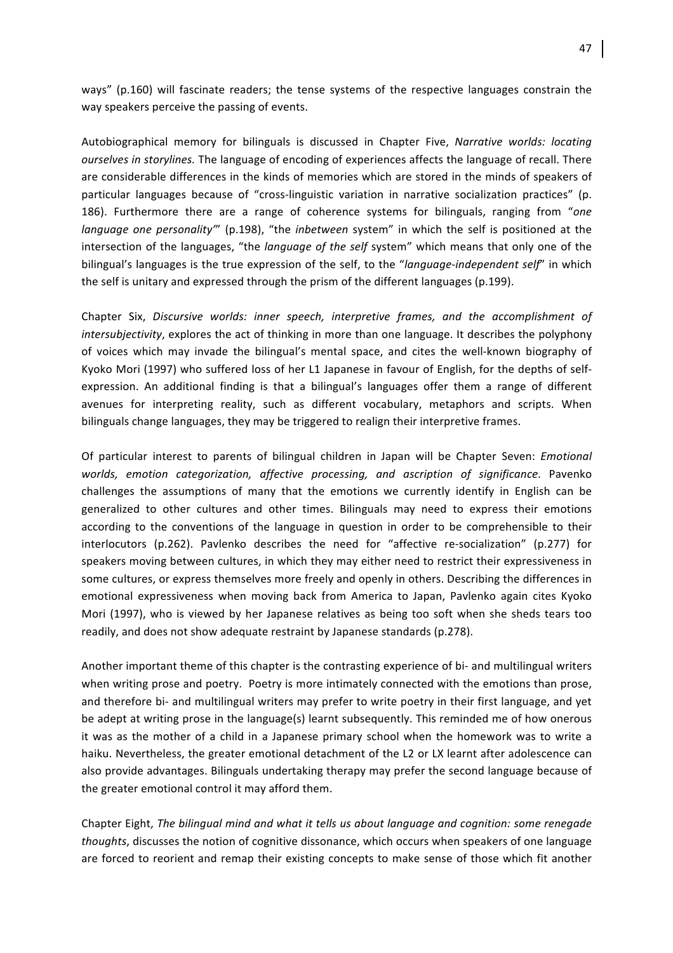ways" (p.160) will fascinate readers; the tense systems of the respective languages constrain the way speakers perceive the passing of events.

Autobiographical memory for bilinguals is discussed in Chapter Five, Narrative worlds: locating *ourselves in storylines*. The language of encoding of experiences affects the language of recall. There are considerable differences in the kinds of memories which are stored in the minds of speakers of particular languages because of "cross-linguistic variation in narrative socialization practices" (p. 186). Furthermore there are a range of coherence systems for bilinguals, ranging from "one *language* one personality<sup>"'</sup> (p.198), "the *inbetween* system" in which the self is positioned at the intersection of the languages, "the *language* of the self system" which means that only one of the bilingual's languages is the true expression of the self, to the "*language-independent self*" in which the self is unitary and expressed through the prism of the different languages (p.199).

Chapter Six, *Discursive worlds: inner speech, interpretive frames, and the accomplishment of intersubjectivity*, explores the act of thinking in more than one language. It describes the polyphony of voices which may invade the bilingual's mental space, and cites the well-known biography of Kyoko Mori (1997) who suffered loss of her L1 Japanese in favour of English, for the depths of selfexpression. An additional finding is that a bilingual's languages offer them a range of different avenues for interpreting reality, such as different vocabulary, metaphors and scripts. When bilinguals change languages, they may be triggered to realign their interpretive frames.

Of particular interest to parents of bilingual children in Japan will be Chapter Seven: *Emotional worlds, emotion categorization, affective processing, and ascription of significance*. Pavenko challenges the assumptions of many that the emotions we currently identify in English can be generalized to other cultures and other times. Bilinguals may need to express their emotions according to the conventions of the language in question in order to be comprehensible to their interlocutors (p.262). Pavlenko describes the need for "affective re-socialization" (p.277) for speakers moving between cultures, in which they may either need to restrict their expressiveness in some cultures, or express themselves more freely and openly in others. Describing the differences in emotional expressiveness when moving back from America to Japan, Pavlenko again cites Kyoko Mori (1997), who is viewed by her Japanese relatives as being too soft when she sheds tears too readily, and does not show adequate restraint by Japanese standards (p.278).

Another important theme of this chapter is the contrasting experience of bi- and multilingual writers when writing prose and poetry. Poetry is more intimately connected with the emotions than prose, and therefore bi- and multilingual writers may prefer to write poetry in their first language, and yet be adept at writing prose in the language(s) learnt subsequently. This reminded me of how onerous it was as the mother of a child in a Japanese primary school when the homework was to write a haiku. Nevertheless, the greater emotional detachment of the L2 or LX learnt after adolescence can also provide advantages. Bilinguals undertaking therapy may prefer the second language because of the greater emotional control it may afford them.

Chapter Eight, *The bilingual mind and what it tells us about language and cognition: some renegade thoughts*, discusses the notion of cognitive dissonance, which occurs when speakers of one language are forced to reorient and remap their existing concepts to make sense of those which fit another